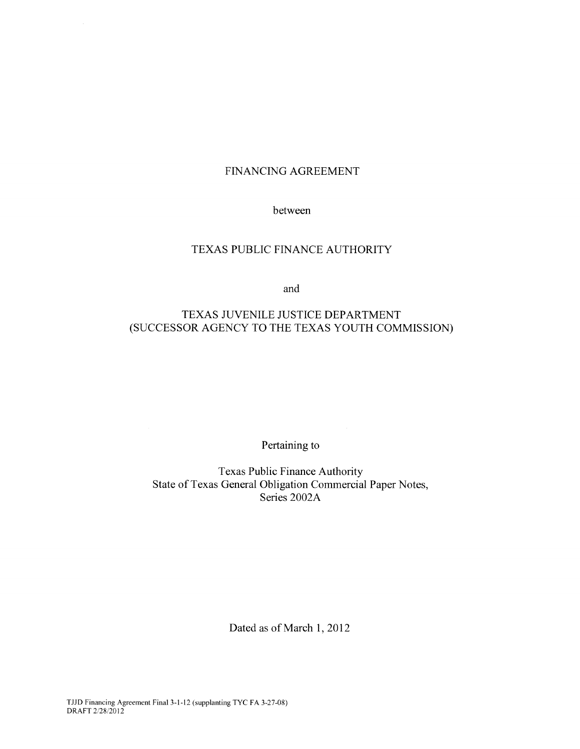# FINANCING AGREEMENT

## between

# TEXAS PUBLIC FINANCE AUTHORITY

and

# TEXAS JUVENILE JUSTICE DEPARTMENT (SUCCESSOR AGENCY TO THE TEXAS YOUTH COMMISSION)

Pertaining to

Texas Public Finance Authority State of Texas General Obligation Commercial Paper Notes, Series 2002A

Dated as of March 1, 2012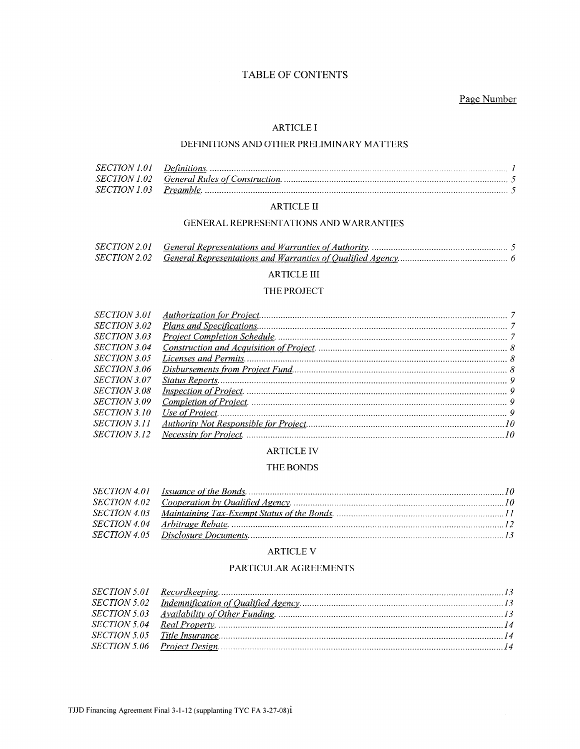# TABLE OF CONTENTS

# Page Number

#### **ARTICLE I**

## DEFINITIONS AND OTHER PRELIMINARY MATTERS

# ARTICLE  $\rm II$

#### GENERAL REPRESENTATIONS AND WARRANTIES

### ARTICLE III

#### THE PROJECT

| SECTION 3.01        |  |
|---------------------|--|
| SECTION 3.02        |  |
| <i>SECTION 3.03</i> |  |
| SECTION 3.04        |  |
| <i>SECTION 3.05</i> |  |
| SECTION 3.06        |  |
| SECTION 3.07        |  |
| SECTION 3.08        |  |
| <i>SECTION 3.09</i> |  |
| SECTION 3.10        |  |
| <i>SECTION 3.11</i> |  |
| <i>SECTION 3.12</i> |  |
|                     |  |

#### **ARTICLE IV**

#### THE BONDS

#### ARTICLE V

## PARTICULAR AGREEMENTS

 $\bar{\nu}$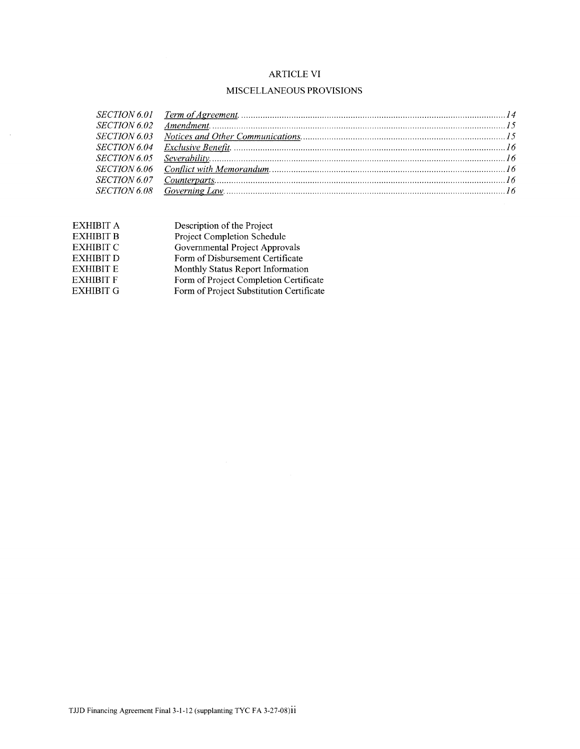# ARTICLE VI

# MISCELLANEOUS PROVISIONS

| EXHIBIT A        | Description of the Project               |
|------------------|------------------------------------------|
| <b>EXHIBIT B</b> | Project Completion Schedule              |
| <b>EXHIBIT C</b> | Governmental Project Approvals           |
| EXHIBIT D        | Form of Disbursement Certificate         |
| EXHIBIT E        | Monthly Status Report Information        |
| EXHIBIT F        | Form of Project Completion Certificate   |
| EXHIBIT G        | Form of Project Substitution Certificate |

 $\sim$   $\sim$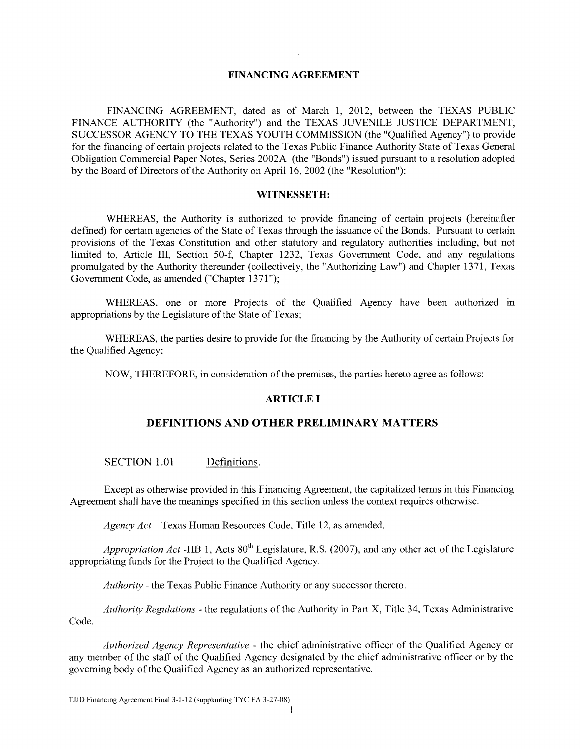# **FINANCING AGREEMENT**

FINANCING AGREEMENT, dated as of March 1, 2012, between the TEXAS PUBLIC FINANCE AUTHORITY (the "Authority") and the TEXAS JUVENILE JUSTICE DEPARTMENT, SUCCESSOR AGENCY TO THE TEXAS YOUTH COMMISSION (the "Qualified Agency") to provide for the financing of certain projects related to the Texas Public Finance Authority State of Texas General Obligation Commercial Paper Notes, Series 2002A (the "Bonds") issued pursuant to a resolution adopted by the Board of Directors of the Authority on April 16, 2002 (the "Resolution");

#### **WITNESSETH:**

WHEREAS, the Authority is authorized to provide financing of certain projects (hereinafter defined) for certain agencies of the State of Texas through the issuance of the Bonds. Pursuant to certain provisions of the Texas Constitution and other statutory and regulatory authorities including, but not limited to, Article III, Section 50-f, Chapter 1232, Texas Government Code, and any regulations promulgated by the Authority thereunder (collectively, the "Authorizing Law") and Chapter 1371, Texas Government Code, as amended ("Chapter 1371");

WHEREAS, one or more Projects of the Qualified Agency have been authorized in appropriations by the Legislature of the State of Texas;

WHEREAS, the parties desire to provide for the financing by the Authority of certain Projects for the Qualified Agency;

NOW, THEREFORE, in consideration of the premises, the parties hereto agree as follows:

#### **ARTICLE I**

#### **DEFINITIONS AND OTHER PRELIMINARY MATTERS**

SECTION 1.01 Definitions.

Except as otherwise provided in this Financing Agreement, the capitalized terms in this Financing Agreement shall have the meanings specified in this section unless the context requires otherwise.

*Agency Act* – Texas Human Resources Code, Title 12, as amended.

*Appropriation Act* -HB 1, Acts  $80<sup>th</sup>$  Legislature, R.S. (2007), and any other act of the Legislature appropriating funds for the Project to the Qualified Agency.

*Authority-* the Texas Public Finance Authority or any successor thereto.

*Authority Regulations* - the regulations of the Authority in Part X, Title 34, Texas Administrative Code.

*Authorized Agency Representative* - the chief administrative officer of the Qualified Agency or any member of the staff of the Qualified Agency designated by the chief administrative officer or by the governing body of the Qualified Agency as an authorized representative.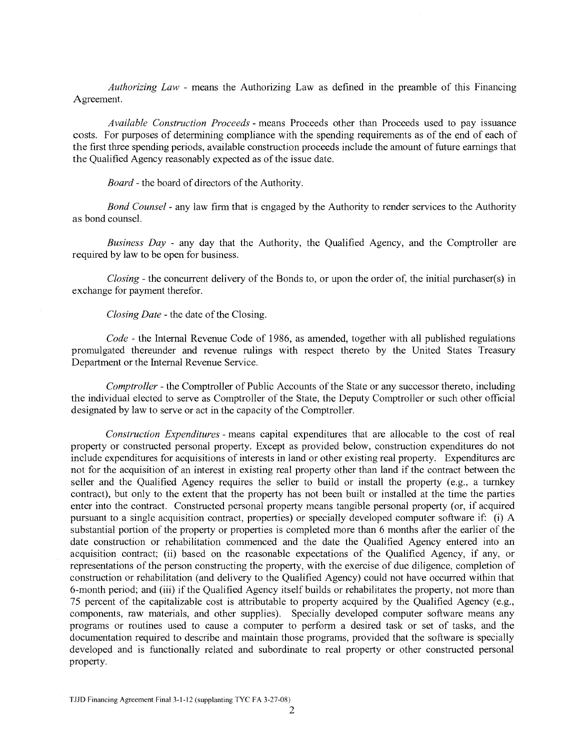*Authorizing Law* - means the Authorizing Law as defined in the preamble of this Financing Agreement.

*Available Construction Proceeds* - means Proceeds other than Proceeds used to pay issuance costs. For purposes of determining compliance with the spending requirements as of the end of each of the first three spending periods, available construction proceeds include the amount of future earnings that the Qualified Agency reasonably expected as of the issue date.

*Board-* the board of directors of the Authority.

*Bond Counsel* - any law firm that is engaged by the Authority to render services to the Authority as bond counsel.

*Business Day* - any day that the Authority, the Qualified Agency, and the Comptroller are required by law to be open for business.

*Closing-* the concurrent delivery of the Bonds to, or upon the order of, the initial purchaser(s) in exchange for payment therefor.

*Closing Date-* the date of the Closing.

*Code* - the Internal Revenue Code of 1986, as amended, together with all published regulations promulgated thereunder and revenue rulings with respect thereto by the United States Treasury Department or the Internal Revenue Service.

*Comptroller* - the Comptroller of Public Accounts of the State or any successor thereto, including the individual elected to serve as Comptroller of the State, the Deputy Comptroller or such other official designated by law to serve or act in the capacity of the Comptroller.

*Construction Expenditures-* means capital expenditures that are allocable to the cost of real property or constructed personal property. Except as provided below, construction expenditures do not include expenditures for acquisitions of interests in land or other existing real property. Expenditures are not for the acquisition of an interest in existing real property other than land if the contract between the seller and the Qualified Agency requires the seller to build or install the property (e.g., a turnkey contract), but only to the extent that the property has not been built or installed at the time the parties enter into the contract. Constructed personal property means tangible personal property (or, if acquired pursuant to a single acquisition contract, properties) or specially developed computer software if: (i) A substantial portion of the property or properties is completed more than 6 months after the earlier of the date construction or rehabilitation commenced and the date the Qualified Agency entered into an acquisition contract; (ii) based on the reasonable expectations of the Qualified Agency, if any, or representations of the person constructing the property, with the exercise of due diligence, completion of construction or rehabilitation (and delivery to the Qualified Agency) could not have occurred within that 6-month period; and (iii) if the Qualified Agency itself builds or rehabilitates the property, not more than 75 percent of the capitalizable cost is attributable to property acquired by the Qualified Agency (e.g., components, raw materials, and other supplies). Specially developed computer software means any programs or routines used to cause a computer to perform a desired task or set of tasks, and the documentation required to describe and maintain those programs, provided that the software is specially developed and is functionally related and subordinate to real property or other constructed personal property.

TJJD Financing Agreement Final3-l-12 (supplanting TYC FA 3-27-08)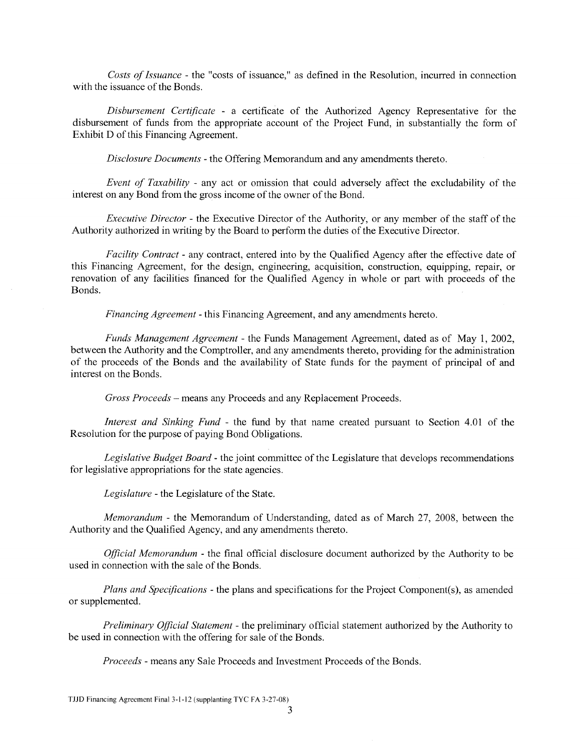*Costs of Issuance* -the "costs of issuance," as defined in the Resolution, incurred in connection with the issuance of the Bonds.

*Disbursement Certificate* - a certificate of the Authorized Agency Representative for the disbursement of funds from the appropriate account of the Project Fund, in substantially the form of Exhibit D of this Financing Agreement.

*Disclosure Documents* - the Offering Memorandum and any amendments thereto.

*Event of Taxability* - any act or omission that could adversely affect the excludability of the interest on any Bond from the gross income of the owner of the Bond.

*Executive Director* - the Executive Director of the Authority, or any member of the staff of the Authority authorized in writing by the Board to perform the duties of the Executive Director.

*Facility Contract-* any contract, entered into by the Qualified Agency after the effective date of this Financing Agreement, for the design, engineering, acquisition, construction, equipping, repair, or renovation of any facilities financed for the Qualified Agency in whole or part with proceeds of the Bonds.

*Financing Agreement* - this Financing Agreement, and any amendments hereto.

*Funds Management Agreement* - the Funds Management Agreement, dated as of May 1, 2002, between the Authority and the Comptroller, and any amendments thereto, providing for the administration of the proceeds of the Bonds and the availability of State funds for the payment of principal of and interest on the Bonds.

*Gross Proceeds* - means any Proceeds and any Replacement Proceeds.

*Interest and Sinking Fund* - the fund by that name created pursuant to Section 4.01 of the Resolution for the purpose of paying Bond Obligations.

*Legislative Budget Board-* the joint committee of the Legislature that develops recommendations for legislative appropriations for the state agencies.

*Legislature* - the Legislature of the State.

*Memorandum* -the Memorandum of Understanding, dated as of March 27, 2008, between the Authority and the Qualified Agency, and any amendments thereto.

*Official Memorandum* - the final official disclosure document authorized by the Authority to be used in connection with the sale of the Bonds.

*Plans and Specifications-* the plans and specifications for the Project Component(s), as amended or supplemented.

*Preliminary Official Statement* - the preliminary official statement authorized by the Authority to be used in connection with the offering for sale of the Bonds.

*Proceeds* - means any Sale Proceeds and Investment Proceeds of the Bonds.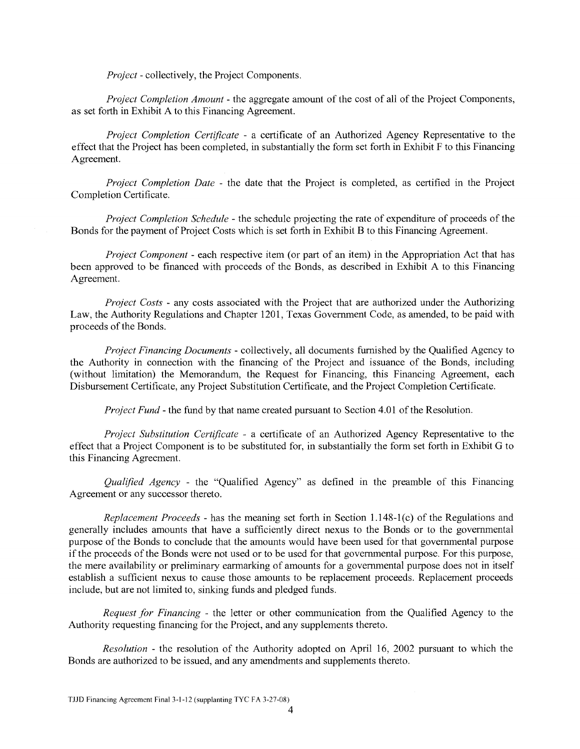*Project-* collectively, the Project Components.

*Project Completion Amount* - the aggregate amount of the cost of all of the Project Components, as set forth in Exhibit A to this Financing Agreement.

*Project Completion Certificate* - a certificate of an Authorized Agency Representative to the effect that the Project has been completed, in substantially the form set forth in Exhibit F to this Financing Agreement.

*Project Completion Date* - the date that the Project is completed, as certified in the Project Completion Certificate.

*Project Completion Schedule* - the schedule projecting the rate of expenditure of proceeds of the Bonds for the payment of Project Costs which is set forth in Exhibit B to this Financing Agreement.

*Project Component* - each respective item (or part of an item) in the Appropriation Act that has been approved to be financed with proceeds of the Bonds, as described in Exhibit A to this Financing Agreement.

*Project Costs* - any costs associated with the Project that are authorized under the Authorizing Law, the Authority Regulations and Chapter 1201, Texas Government Code, as amended, to be paid with proceeds of the Bonds.

*Project Financing Documents-* collectively, all documents furnished by the Qualified Agency to the Authority in connection with the financing of the Project and issuance of the Bonds, including (without limitation) the Memorandum, the Request for Financing, this Financing Agreement, each Disbursement Certificate, any Project Substitution Certificate, and the Project Completion Certificate.

*Project Fund-* the fund by that name created pursuant to Section 4.01 of the Resolution.

*Project Substitution Certificate* - a certificate of an Authorized Agency Representative to the effect that a Project Component is to be substituted for, in substantially the form set forth in Exhibit G to this Financing Agreement.

*Qualified Agency* - the "Qualified Agency" as defined in the preamble of this Financing Agreement or any successor thereto.

*Replacement Proceeds* - has the meaning set forth in Section 1.148-1 (c) of the Regulations and generally includes amounts that have a sufficiently direct nexus to the Bonds or to the governmental purpose of the Bonds to conclude that the amounts would have been used for that governmental purpose if the proceeds of the Bonds were not used or to be used for that governmental purpose. For this purpose, the mere availability or preliminary earmarking of amounts for a governmental purpose does not in itself establish a sufficient nexus to cause those amounts to be replacement proceeds. Replacement proceeds include, but are not limited to, sinking funds and pledged funds.

*Request for Financing* - the letter or other communication from the Qualified Agency to the Authority requesting financing for the Project, and any supplements thereto.

*Resolution* - the resolution of the Authority adopted on April 16, 2002 pursuant to which the Bonds are authorized to be issued, and any amendments and supplements thereto.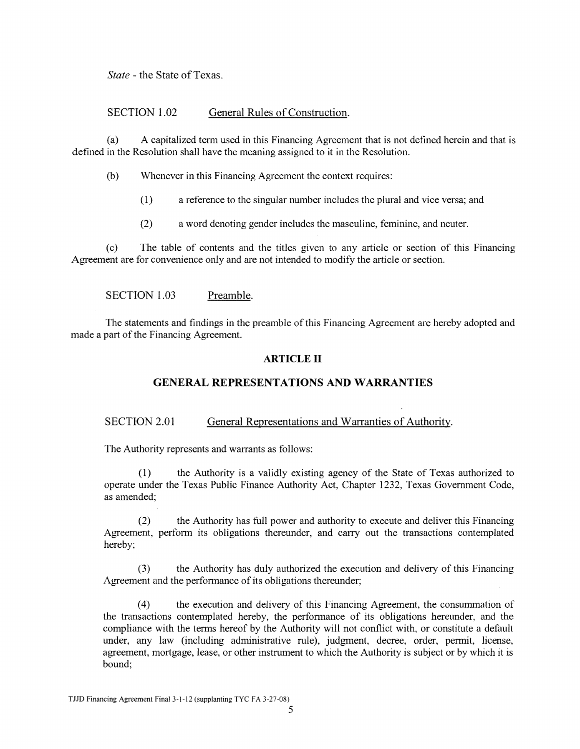*State-* the State of Texas.

# SECTION 1.02 General Rules of Construction.

(a) A capitalized term used in this Financing Agreement that is not defined herein and that is defined in the Resolution shall have the meaning assigned to it in the Resolution.

- (b) Whenever in this Financing Agreement the context requires:
	- (1) a reference to the singular number includes the plural and vice versa; and
	- (2) a word denoting gender includes the masculine, feminine, and neuter.

(c) The table of contents and the titles given to any article or section of this Financing Agreement are for convenience only and are not intended to modify the article or section.

# SECTION 1.03 Preamble.

The statements and findings in the preamble of this Financing Agreement are hereby adopted and made a part of the Financing Agreement.

# **ARTICLE II**

# **GENERAL REPRESENTATIONS AND WARRANTIES**

# SECTION 2.01 General Representations and Warranties of Authority.

The Authority represents and warrants as follows:

(1) the Authority is a validly existing agency of the State of Texas authorized to operate under the Texas Public Finance Authority Act, Chapter 1232, Texas Government Code, as amended;

(2) the Authority has full power and authority to execute and deliver this Financing Agreement, perform its obligations thereunder, and carry out the transactions contemplated hereby;

(3) the Authority has duly authorized the execution and delivery of this Financing Agreement and the performance of its obligations thereunder;

(4) the execution and delivery of this Financing Agreement, the consummation of the transactions contemplated hereby, the performance of its obligations hereunder, and the compliance with the terms hereof by the Authority will not conflict with, or constitute a default under, any law (including administrative rule), judgment, decree, order, permit, license, agreement, mortgage, lease, or other instrument to which the Authority is subject or by which it is bound;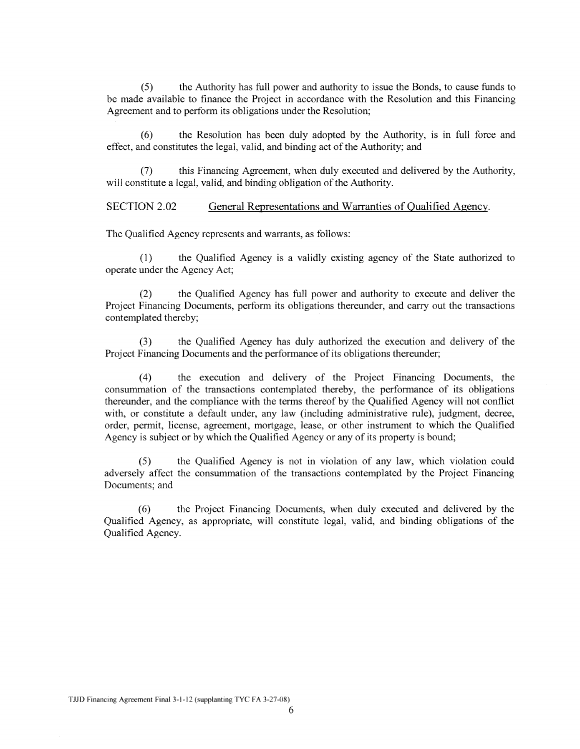(5) the Authority has full power and authority to issue the Bonds, to cause funds to be made available to finance the Project in accordance with the Resolution and this Financing Agreement and to perform its obligations under the Resolution;

(6) the Resolution has been duly adopted by the Authority, is in full force and effect, and constitutes the legal, valid, and binding act of the Authority; and

(7) this Financing Agreement, when duly executed and delivered by the Authority, will constitute a legal, valid, and binding obligation of the Authority.

SECTION 2.02 General Representations and Warranties of Qualified Agency.

The Qualified Agency represents and warrants, as follows:

(1) the Qualified Agency is a validly existing agency of the State authorized to operate under the Agency Act;

(2) the Qualified Agency has full power and authority to execute and deliver the Project Financing Documents, perform its obligations thereunder, and carry out the transactions contemplated thereby;

(3) the Qualified Agency has duly authorized the execution and delivery of the Project Financing Documents and the performance of its obligations thereunder;

( 4) the execution and delivery of the Project Financing Documents, the consummation of the transactions contemplated thereby, the performance of its obligations thereunder, and the compliance with the terms thereof by the Qualified Agency will not conflict with, or constitute a default under, any law (including administrative rule), judgment, decree, order, permit, license, agreement, mortgage, lease, or other instrument to which the Qualified Agency is subject or by which the Qualified Agency or any of its property is bound;

(5) the Qualified Agency is not in violation of any law, which violation could adversely affect the consummation of the transactions contemplated by the Project Financing Documents; and

(6) the Project Financing Documents, when duly executed and delivered by the Qualified Agency, as appropriate, will constitute legal, valid, and binding obligations of the Qualified Agency.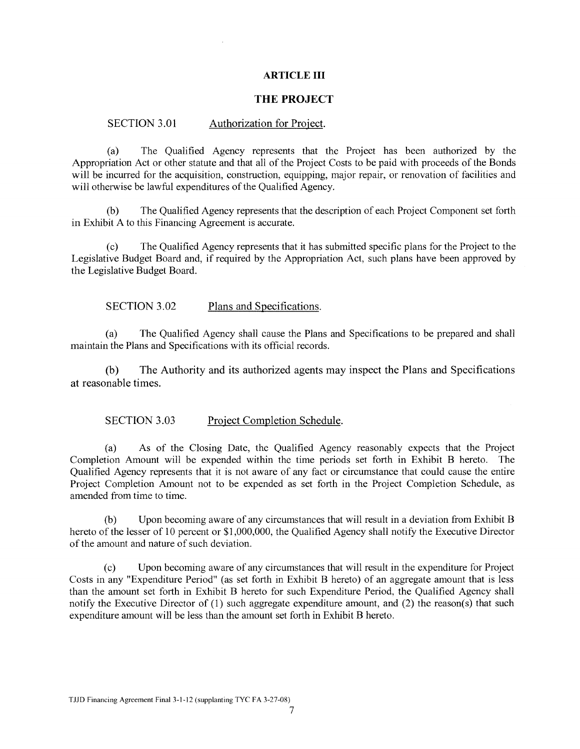# **ARTICLE III**

## **THE PROJECT**

#### SECTION 3.01 Authorization for Project.

(a) The Qualified Agency represents that the Project has been authorized by the Appropriation Act or other statute and that all of the Project Costs to be paid with proceeds of the Bonds will be incurred for the acquisition, construction, equipping, major repair, or renovation of facilities and will otherwise be lawful expenditures of the Qualified Agency.

(b) The Qualified Agency represents that the description of each Project Component set forth in Exhibit A to this Financing Agreement is accurate.

(c) The Qualified Agency represents that it has submitted specific plans for the Project to the Legislative Budget Board and, if required by the Appropriation Act, such plans have been approved by the Legislative Budget Board.

## SECTION 3.02 Plans and Specifications.

(a) The Qualified Agency shall cause the Plans and Specifications to be prepared and shall maintain the Plans and Specifications with its official records.

(b) The Authority and its authorized agents may inspect the Plans and Specifications at reasonable times.

#### SECTION 3.03 Project Completion Schedule.

(a) As of the Closing Date, the Qualified Agency reasonably expects that the Project Completion Amount will be expended within the time periods set forth in Exhibit B hereto. The Qualified Agency represents that it is not aware of any fact or circumstance that could cause the entire Project Completion Amount not to be expended as set forth in the Project Completion Schedule, as amended from time to time.

(b) Upon becoming aware of any circumstances that will result in a deviation from Exhibit B hereto of the lesser of 10 percent or \$1,000,000, the Qualified Agency shall notify the Executive Director of the amount and nature of such deviation.

(c) Upon becoming aware of any circumstances that will result in the expenditure for Project Costs in any "Expenditure Period" (as set forth in Exhibit B hereto) of an aggregate amount that is less than the amount set forth in Exhibit B hereto for such Expenditure Period, the Qualified Agency shall notify the Executive Director of (1) such aggregate expenditure amount, and (2) the reason(s) that such expenditure amount will be less than the amount set forth in Exhibit B hereto.

TJJD Financing Agreement Final 3-1-12 (supplanting TYC FA 3-27-08)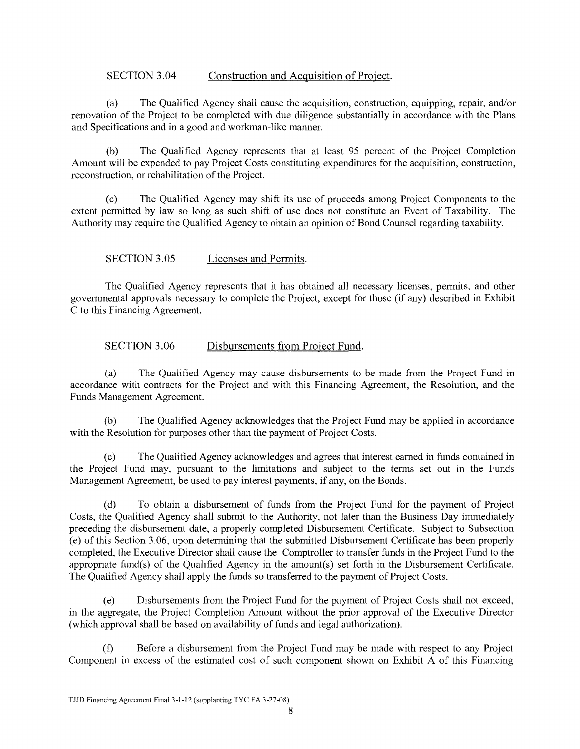# SECTION 3.04 Construction and Acquisition of Project.

(a) The Qualified Agency shall cause the acquisition, construction, equipping, repair, and/or renovation of the Project to be completed with due diligence substantially in accordance with the Plans and Specifications and in a good and workman-like manner.

(b) The Qualified Agency represents that at least 95 percent of the Project Completion Amount will be expended to pay Project Costs constituting expenditures for the acquisition, construction, reconstruction, or rehabilitation of the Project.

(c) The Qualified Agency may shift its use of proceeds among Project Components to the extent permitted by law so long as such shift of use does not constitute an Event of Taxability. The Authority may require the Qualified Agency to obtain an opinion of Bond Counsel regarding taxability.

# SECTION 3.05 Licenses and Permits.

The Qualified Agency represents that it has obtained all necessary licenses, permits, and other governmental approvals necessary to complete the Project, except for those (if any) described in Exhibit C to this Financing Agreement.

# SECTION 3.06 Disbursements from Project Fund.

(a) The Qualified Agency may cause disbursements to be made from the Project Fund in accordance with contracts for the Project and with this Financing Agreement, the Resolution, and the Funds Management Agreement.

(b) The Qualified Agency acknowledges that the Project Fund may be applied in accordance with the Resolution for purposes other than the payment of Project Costs.

(c) The Qualified Agency acknowledges and agrees that interest earned in funds contained in the Project Fund may, pursuant to the limitations and subject to the terms set out in the Funds Management Agreement, be used to pay interest payments, if any, on the Bonds.

(d) To obtain a disbursement of funds from the Project Fund for the payment of Project Costs, the Qualified Agency shall submit to the Authority, not later than the Business Day immediately preceding the disbursement date, a properly completed Disbursement Certificate. Subject to Subsection (e) of this Section 3.06, upon determining that the submitted Disbursement Certificate has been properly completed, the Executive Director shall cause the Comptroller to transfer funds in the Project Fund to the appropriate fund(s) of the Qualified Agency in the amount(s) set forth in the Disbursement Certificate. The Qualified Agency shall apply the funds so transferred to the payment of Project Costs.

(e) Disbursements from the Project Fund for the payment of Project Costs shall not exceed, in the aggregate, the Project Completion Amount without the prior approval of the Executive Director (which approval shall be based on availability of funds and legal authorization).

(f) Before a disbursement from the Project Fund may be made with respect to any Project Component in excess of the estimated cost of such component shown on Exhibit A of this Financing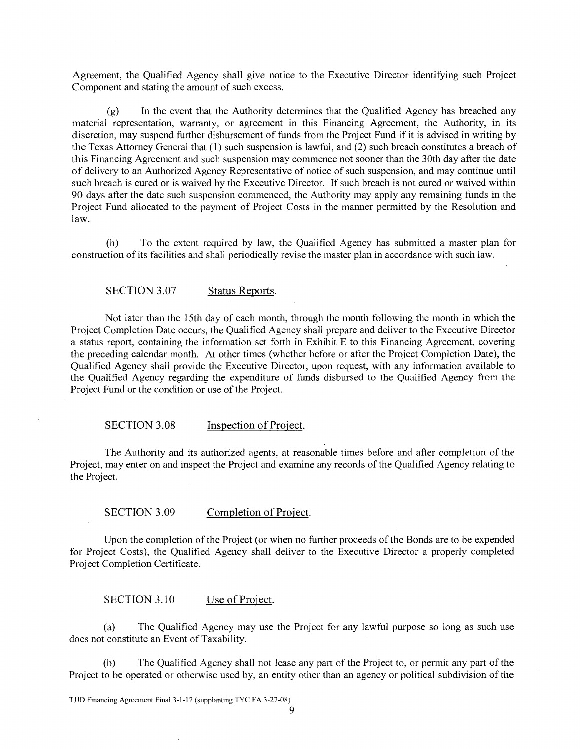Agreement, the Qualified Agency shall give notice to the Executive Director identifying such Project Component and stating the amount of such excess.

(g) In the event that the Authority determines that the Qualified Agency has breached any material representation, warranty, or agreement in this Financing Agreement, the Authority, in its discretion, may suspend further disbursement of funds from the Project Fund if it is advised in writing by the Texas Attorney General that (1) such suspension is lawful, and (2) such breach constitutes a breach of this Financing Agreement and such suspension may commence not sooner than the 30th day after the date of delivery to an Authorized Agency Representative of notice of such suspension, and may continue until such breach is cured or is waived by the Executive Director. If such breach is not cured or waived within 90 days after the date such suspension commenced, the Authority may apply any remaining funds in the Project Fund allocated to the payment of Project Costs in the manner permitted by the Resolution and law.

(h) To the extent required by law, the Qualified Agency has submitted a master plan for construction of its facilities and shall periodically revise the master plan in accordance with such law.

#### SECTION 3.07 Status Reports.

Not later than the 15th day of each month, through the month following the month in which the Project Completion Date occurs, the Qualified Agency shall prepare and deliver to the Executive Director a status report, containing the information set forth in Exhibit E to this Financing Agreement, covering the preceding calendar month. At other times (whether before or after the Project Completion Date), the Qualified Agency shall provide the Executive Director, upon request, with any information available to the Qualified Agency regarding the expenditure of funds disbursed to the Qualified Agency from the Project Fund or the condition or use of the Project.

#### SECTION 3.08 Inspection of Project.

The Authority and its authorized agents, at reasonable times before and after completion of the Project, may enter on and inspect the Project and examine any records of the Qualified Agency relating to the Project.

### SECTION 3.09 Completion of Project.

Upon the completion of the Project (or when no further proceeds of the Bonds are to be expended for Project Costs), the Qualified Agency shall deliver to the Executive Director a properly completed Project Completion Certificate.

# SECTION 3.10 Use of Project.

(a) The Qualified Agency may use the Project for any lawful purpose so long as such use does not constitute an Event of Taxability.

(b) The Qualified Agency shall not lease any part of the Project to, or permit any part of the Project to be operated or otherwise used by, an entity other than an agency or political subdivision of the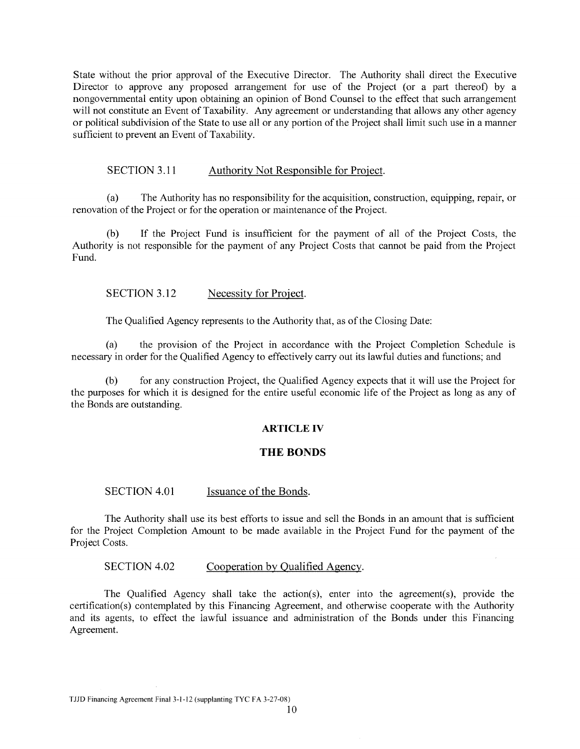State without the prior approval of the Executive Director. The Authority shall direct the Executive Director to approve any proposed arrangement for use of the Project (or a part thereof) by a nongovernmental entity upon obtaining an opinion of Bond Counsel to the effect that such arrangement will not constitute an Event of Taxability. Any agreement or understanding that allows any other agency or political subdivision of the State to use all or any portion of the Project shall limit such use in a manner sufficient to prevent an Event of Taxability.

## SECTION 3.11 Authority Not Responsible for Project.

(a) The Authority has no responsibility for the acquisition, construction, equipping, repair, or renovation of the Project or for the operation or maintenance of the Project.

(b) If the Project Fund is insufficient for the payment of all of the Project Costs, the Authority is not responsible for the payment of any Project Costs that cannot be paid from the Project Fund.

SECTION 3.12 Necessity for Project.

The Qualified Agency represents to the Authority that, as of the Closing Date:

(a) the provision of the Project in accordance with the Project Completion Schedule 1s necessary in order for the Qualified Agency to effectively carry out its lawful duties and functions; and

(b) for any construction Project, the Qualified Agency expects that it will use the Project for the purposes for which it is designed for the entire useful economic life of the Project as long as any of the Bonds are outstanding.

#### **ARTICLE IV**

# **THE BONDS**

## SECTION 4.01 Issuance of the Bonds.

The Authority shall use its best efforts to issue and sell the Bonds in an amount that is sufficient for the Project Completion Amount to be made available in the Project Fund for the payment of the Project Costs.

SECTION 4.02 Cooperation by Qualified Agency.

The Qualified Agency shall take the action(s), enter into the agreement(s), provide the certification(s) contemplated by this Financing Agreement, and otherwise cooperate with the Authority and its agents, to effect the lawful issuance and administration of the Bonds under this Financing Agreement.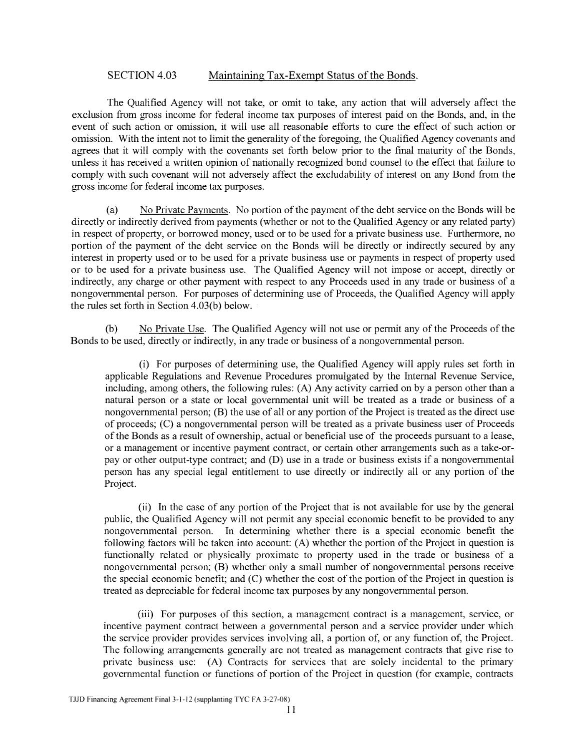# SECTION 4.03 Maintaining Tax-Exempt Status of the Bonds.

The Qualified Agency will not take, or omit to take, any action that will adversely affect the exclusion from gross income for federal income tax purposes of interest paid on the Bonds, and, in the event of such action or omission, it will use all reasonable efforts to cure the effect of such action or omission. With the intent not to limit the generality of the foregoing, the Qualified Agency covenants and agrees that it will comply with the covenants set forth below prior to the final maturity of the Bonds, unless it has received a written opinion of nationally recognized bond counsel to the effect that failure to comply with such covenant will not adversely affect the excludability of interest on any Bond from the gross income for federal income tax purposes.

(a) No Private Payments. No portion of the payment of the debt service on the Bonds will be directly or indirectly derived from payments (whether or not to the Qualified Agency or any related party) in respect of property, or borrowed money, used or to be used for a private business use. Furthermore, no portion of the payment of the debt service on the Bonds will be directly or indirectly secured by any interest in property used or to be used for a private business use or payments in respect of property used or to be used for a private business use. The Qualified Agency will not impose or accept, directly or indirectly, any charge or other payment with respect to any Proceeds used in any trade or business of a nongovernmental person. For purposes of determining use of Proceeds, the Qualified Agency will apply the rules set forth in Section 4.03(b) below.

(b) No Private Use. The Qualified Agency will not use or permit any of the Proceeds of the Bonds to be used, directly or indirectly, in any trade or business of a nongovernmental person.

(i) For purposes of determining use, the Qualified Agency will apply rules set forth in applicable Regulations and Revenue Procedures promulgated by the Internal Revenue Service, including, among others, the following rules: (A) Any activity carried on by a person other than a natural person or a state or local governmental unit will be treated as a trade or business of a nongovernmental person; (B) the use of all or any portion of the Project is treated as the direct use of proceeds; (C) a nongovernmental person will be treated as a private business user of Proceeds of the Bonds as a result of ownership, actual or beneficial use of the proceeds pursuant to a lease, or a management or incentive payment contract, or certain other arrangements such as a take-orpay or other output-type contract; and (D) use in a trade or business exists if a nongovernmental person has any special legal entitlement to use directly or indirectly all or any portion of the Project.

(ii) In the case of any portion of the Project that is not available for use by the general public, the Qualified Agency will not permit any special economic benefit to be provided to any nongovernmental person. In determining whether there is a special economic benefit the following factors will be taken into account: (A) whether the portion of the Project in question is functionally related or physically proximate to property used in the trade or business of a nongovernmental person; (B) whether only a small number of nongovernmental persons receive the special economic benefit; and (C) whether the cost of the portion of the Project in question is treated as depreciable for federal income tax purposes by any nongovernmental person.

(iii) For purposes of this section, a management contract is a management, service, or incentive payment contract between a governmental person and a service provider under which the service provider provides services involving all, a portion of, or any function of, the Project. The following arrangements generally are not treated as management contracts that give rise to private business use: (A) Contracts for services that are solely incidental to the primary governmental function or functions of portion of the Project in question (for example, contracts

TJJD Financing Agreement Final3-l-12 (supplanting TYC FA 3-27-08)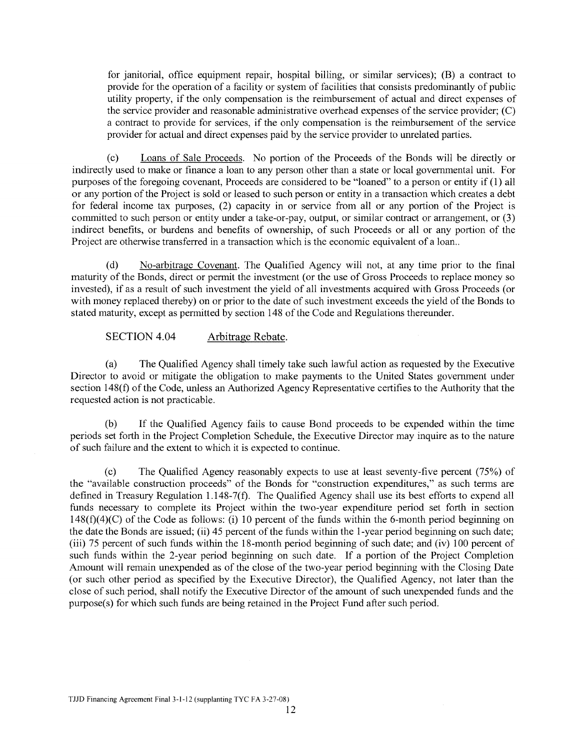for janitorial, office equipment repair, hospital billing, or similar services); (B) a contract to provide for the operation of a facility or system of facilities that consists predominantly of public utility property, if the only compensation is the reimbursement of actual and direct expenses of the service provider and reasonable administrative overhead expenses of the service provider;  $(C)$ a contract to provide for services, if the only compensation is the reimbursement of the service provider for actual and direct expenses paid by the service provider to unrelated parties.

(c) Loans of Sale Proceeds. No portion of the Proceeds of the Bonds will be directly or indirectly used to make or finance a loan to any person other than a state or local governrnental unit. For purposes of the foregoing covenant, Proceeds are considered to be "loaned" to a person or entity if (1) all or any portion of the Project is sold or leased to such person or entity in a transaction which creates a debt for federal income tax purposes, (2) capacity in or service from all or any portion of the Project is committed to such person or entity under a take-or-pay, output, or similar contract or arrangement, or (3) indirect benefits, or burdens and benefits of ownership, of such Proceeds or all or any portion of the Project are otherwise transferred in a transaction which is the economic equivalent of a loan...

(d) No-arbitrage Covenant. The Qualified Agency will not, at any time prior to the final maturity of the Bonds, direct or permit the investment (or the use of Gross Proceeds to replace money so invested), if as a result of such investment the yield of all investments acquired with Gross Proceeds (or with money replaced thereby) on or prior to the date of such investment exceeds the yield of the Bonds to stated maturity, except as permitted by section 148 of the Code and Regulations thereunder.

SECTION 4.04 Arbitrage Rebate.

(a) The Qualified Agency shall timely take such lawful action as requested by the Executive Director to avoid or mitigate the obligation to make payments to the United States governrnent under section 148(f) of the Code, unless an Authorized Agency Representative certifies to the Authority that the requested action is not practicable.

(b) If the Qualified Agency fails to cause Bond proceeds to be expended within the time periods set forth in the Project Completion Schedule, the Executive Director may inquire as to the nature of such failure and the extent to which it is expected to continue.

(c) The Qualified Agency reasonably expects to use at least seventy-five percent (75%) of the "available construction proceeds" of the Bonds for "construction expenditures," as such terms are defined in Treasury Regulation 1.148-7(f). The Qualified Agency shall use its best efforts to expend all funds necessary to complete its Project within the two-year expenditure period set forth in section  $148(f)(4)(C)$  of the Code as follows: (i) 10 percent of the funds within the 6-month period beginning on the date the Bonds are issued; (ii) 45 percent of the funds within the 1-year period beginning on such date; (iii) 75 percent of such funds within the 18-month period beginning of such date; and (iv) 100 percent of such funds within the 2-year period beginning on such date. If a portion of the Project Completion Amount will remain unexpended as of the close of the two-year period beginning with the Closing Date (or such other period as specified by the Executive Director), the Qualified Agency, not later than the close of such period, shall notify the Executive Director of the amount of such unexpended funds and the purpose(s) for which such funds are being retained in the Project Fund after such period.

TJJD Financing Agreement Final 3-1-12 (supplanting TYC FA 3-27-08)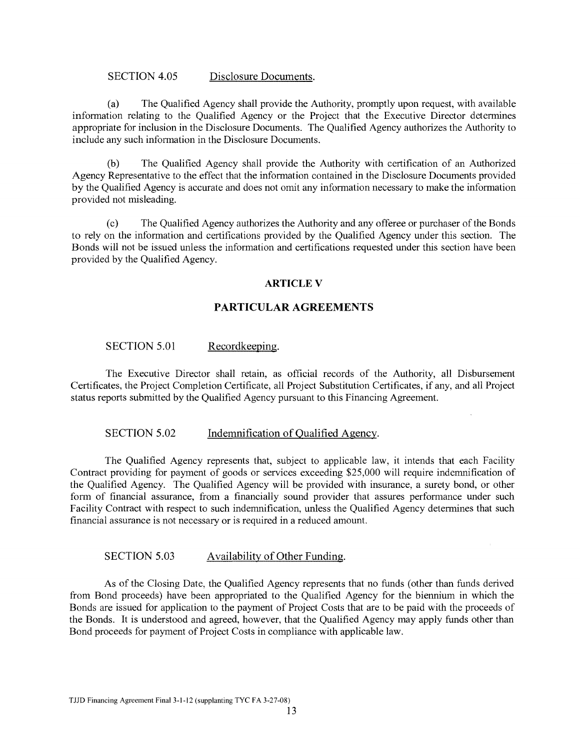## SECTION 4.05 Disclosure Documents.

(a) The Qualified Agency shall provide the Authority, promptly upon request, with available information relating to the Qualified Agency or the Project that the Executive Director determines appropriate for inclusion in the Disclosure Documents. The Qualified Agency authorizes the Authority to include any such information in the Disclosure Documents.

(b) The Qualified Agency shall provide the Authority with certification of an Authorized Agency Representative to the effect that the information contained in the Disclosure Documents provided by the Qualified Agency is accurate and does not omit any information necessary to make the information provided not misleading.

(c) The Qualified Agency authorizes the Authority and any offeree or purchaser of the Bonds to rely on the information and certifications provided by the Qualified Agency under this section. The Bonds will not be issued unless the information and certifications requested under this section have been provided by the Qualified Agency.

# **ARTICLE V**

# **PARTICULAR AGREEMENTS**

# SECTION 5.01 Recordkeeping.

The Executive Director shall retain, as official records of the Authority, all Disbursement Certificates, the Project Completion Certificate, all Project Substitution Certificates, if any, and all Project status reports submitted by the Qualified Agency pursuant to this Financing Agreement.

## SECTION 5.02 Indemnification of Qualified Agency.

The Qualified Agency represents that, subject to applicable law, it intends that each Facility Contract providing for payment of goods or services exceeding \$25,000 will require indemnification of the Qualified Agency. The Qualified Agency will be provided with insurance, a surety bond, or other form of financial assurance, from a financially sound provider that assures performance under such Facility Contract with respect to such indemnification, unless the Qualified Agency determines that such financial assurance is not necessary or is required in a reduced amount.

# SECTION 5.03 Availability of Other Funding.

As of the Closing Date, the Qualified Agency represents that no funds (other than funds derived from Bond proceeds) have been appropriated to the Qualified Agency for the biennium in which the Bonds are issued for application to the payment of Project Costs that are to be paid with the proceeds of the Bonds. It is understood and agreed, however, that the Qualified Agency may apply funds other than Bond proceeds for payment of Project Costs in compliance with applicable law.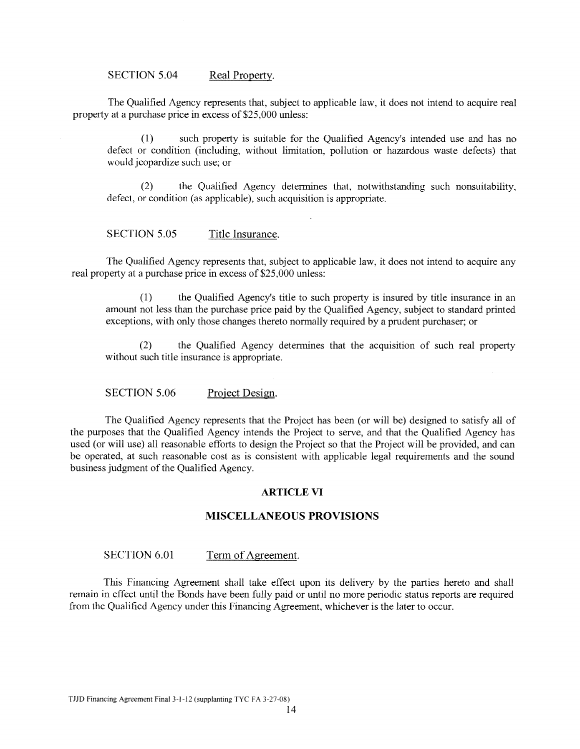SECTION 5.04 Real Property.

The Qualified Agency represents that, subject to applicable law, it does not intend to acquire real property at a purchase price in excess of \$25,000 unless:

(1) such property is suitable for the Qualified Agency's intended use and has no defect or condition (including, without limitation, pollution or hazardous waste defects) that would jeopardize such use; or

(2) the Qualified Agency determines that, notwithstanding such nonsuitability, defect, or condition (as applicable), such acquisition is appropriate.

SECTION 5.05 Title Insurance.

The Qualified Agency represents that, subject to applicable law, it does not intend to acquire any real property at a purchase price in excess of \$25,000 unless:

(1) the Qualified Agency's title to such property is insured by title insurance in an amount not less than the purchase price paid by the Qualified Agency, subject to standard printed exceptions, with only those changes thereto normally required by a prudent purchaser; or

(2) the Qualified Agency determines that the acquisition of such real property without such title insurance is appropriate.

SECTION 5.06 Project Design.

The Qualified Agency represents that the Project has been (or will be) designed to satisfy all of the purposes that the Qualified Agency intends the Project to serve, and that the Qualified Agency has used (or will use) all reasonable efforts to design the Project so that the Project will be provided, and can be operated, at such reasonable cost as is consistent with applicable legal requirements and the sound business judgment of the Qualified Agency.

#### **ARTICLE VI**

# **MISCELLANEOUS PROVISIONS**

#### SECTION 6.01 Term of Agreement.

This Financing Agreement shall take effect upon its delivery by the parties hereto and shall remain in effect until the Bonds have been fully paid or until no more periodic status reports are required from the Qualified Agency under this Financing Agreement, whichever is the later to occur.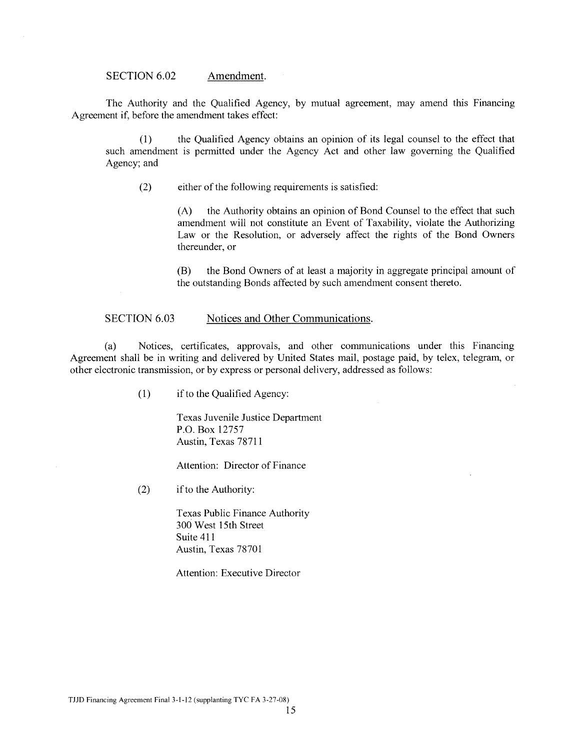SECTION 6.02 Amendment.

The Authority and the Qualified Agency, by mutual agreement, may amend this Financing Agreement if, before the amendment takes effect:

(1) the Qualified Agency obtains an opinion of its legal counsel to the effect that such amendment is permitted under the Agency Act and other law governing the Qualified Agency; and

(2) either of the following requirements is satisfied:

(A) the Authority obtains an opinion of Bond Counsel to the effect that such amendment will not constitute an Event of Taxability, violate the Authorizing Law or the Resolution, or adversely affect the rights of the Bond Owners thereunder, or

(B) the Bond Owners of at least a majority in aggregate principal amount of the outstanding Bonds affected by such amendment consent thereto.

#### SECTION 6.03 Notices and Other Communications.

(a) Notices, certificates, approvals, and other communications under this Financing Agreement shall be in writing and delivered by United States mail, postage paid, by telex, telegram, or other electronic transmission, or by express or personal delivery, addressed as follows:

(1) if to the Qualified Agency:

Texas Juvenile Justice Department P.O. Box 12757 Austin, Texas 78711

Attention: Director of Finance

(2) ifto the Authority:

Texas Public Finance Authority 300 West 15th Street Suite 411 Austin, Texas 78701

Attention: Executive Director

TJJD Financing Agreement Final3-I-12 (supplanting TYC FA 3-27-08)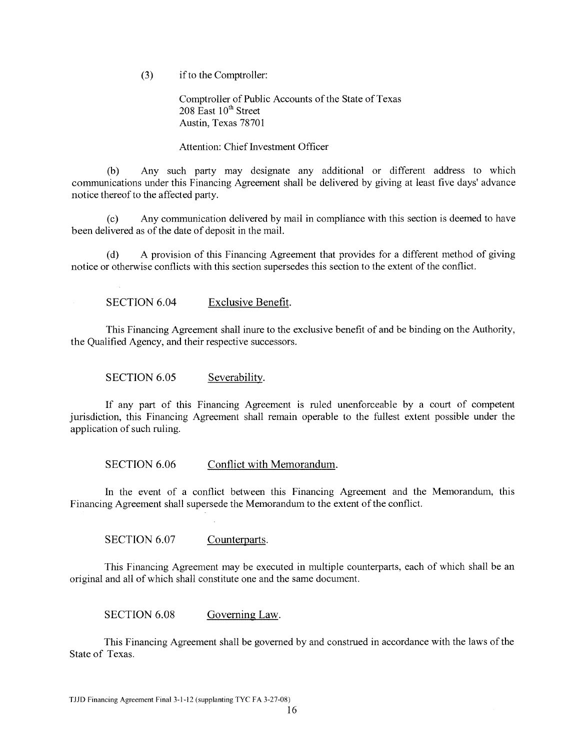(3) if to the Comptroller:

Comptroller of Public Accounts of the State of Texas  $208$  East  $10<sup>th</sup>$  Street Austin, Texas 78701

# Attention: Chief Investment Officer

(b) Any such party may designate any additional or different address to which communications under this Financing Agreement shall be delivered by giving at least five days' advance notice thereof to the affected party.

(c) Any communication delivered by mail in compliance with this section is deemed to have been delivered as of the date of deposit in the mail.

(d) A provision of this Financing Agreement that provides for a different method of giving notice or otherwise conflicts with this section supersedes this section to the extent of the conflict.

SECTION 6.04 Exclusive Benefit.

This Financing Agreement shall inure to the exclusive benefit of and be binding on the Authority, the Qualified Agency, and their respective successors.

SECTION 6.05 Severability.

If any part of this Financing Agreement is ruled unenforceable by a court of competent jurisdiction, this Financing Agreement shall remain operable to the fullest extent possible under the application of such ruling.

SECTION 6.06 Conflict with Memorandum.

In the event of a conflict between this Financing Agreement and the Memorandum, this Financing Agreement shall supersede the Memorandum to the extent of the conflict.

SECTION 6.07 Counterparts.

This Financing Agreement may be executed in multiple counterparts, each of which shall be an original and all of which shall constitute one and the same document.

SECTION 6.08 Governing Law.

This Financing Agreement shall be governed by and construed in accordance with the laws of the State of Texas.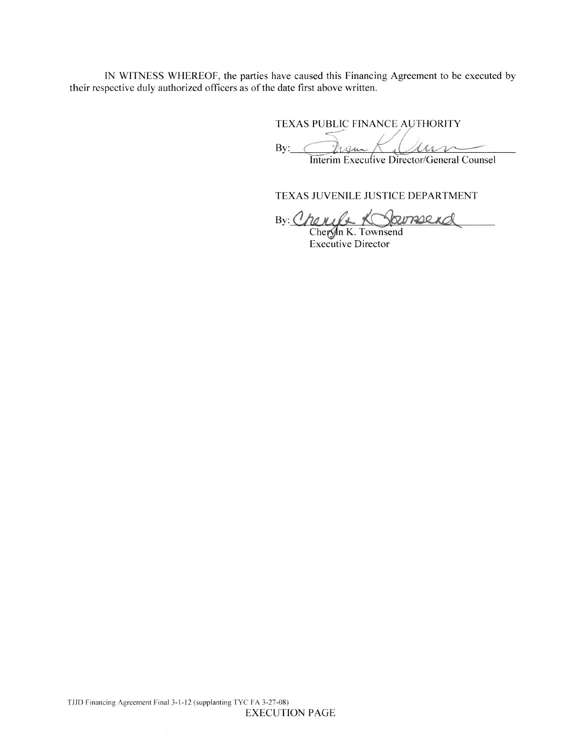IN WITNESS WHEREOF, the parties have caused this Financing Agreement to be executed by their respective duly authorized officers as of the date first above written.

TEXAS PUBLIC FINANCE AUTHORITY

 $By: \bigcirc$  *Primate Le Month* Interim Execulive Director/General Counsel

TEXAS JUVENILE JUSTICE DEPARTMENT

By: Cheryle K Soumerd

Executive Director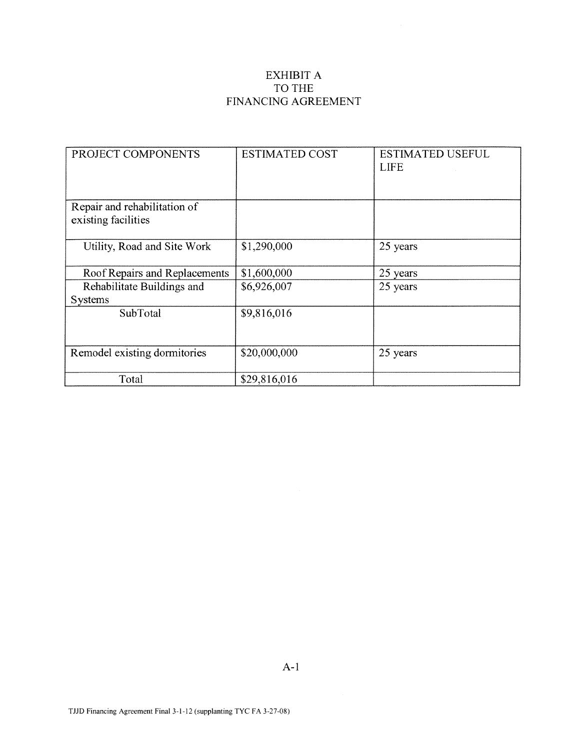# EXHIBIT A TO THE FINANCING AGREEMENT

| PROJECT COMPONENTS                                  | <b>ESTIMATED COST</b> | <b>ESTIMATED USEFUL</b><br><b>LIFE</b> |
|-----------------------------------------------------|-----------------------|----------------------------------------|
| Repair and rehabilitation of<br>existing facilities |                       |                                        |
| Utility, Road and Site Work                         | \$1,290,000           | 25 years                               |
| Roof Repairs and Replacements                       | \$1,600,000           | 25 years                               |
| Rehabilitate Buildings and<br><b>Systems</b>        | \$6,926,007           | 25 years                               |
| SubTotal                                            | \$9,816,016           |                                        |
| Remodel existing dormitories                        | \$20,000,000          | 25 years                               |
| Total                                               | \$29,816,016          |                                        |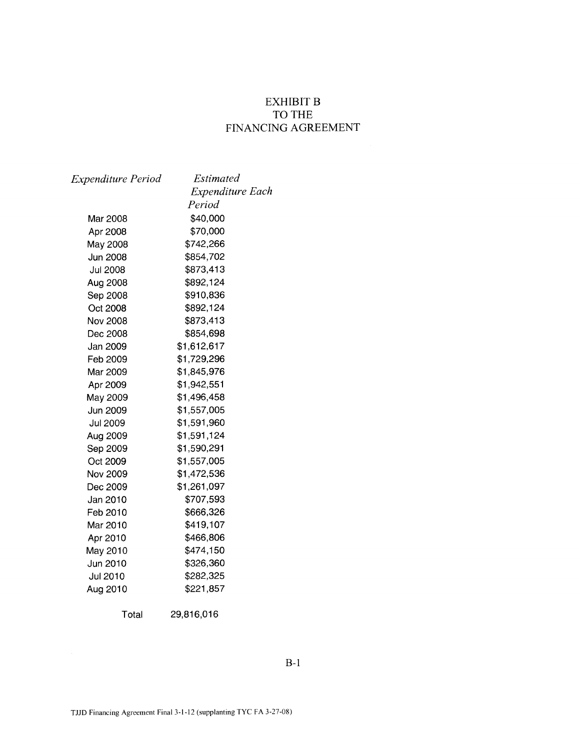# EXHIBIT B TO THE FINANCING AGREEMENT

| Expenditure Period | Estimated               |
|--------------------|-------------------------|
|                    | <b>Expenditure Each</b> |
|                    | Period                  |
| Mar 2008           | \$40,000                |
| Apr 2008           | \$70,000                |
| May 2008           | \$742,266               |
| <b>Jun 2008</b>    | \$854,702               |
| <b>Jul 2008</b>    | \$873,413               |
| Aug 2008           | \$892,124               |
| Sep 2008           | \$910,836               |
| Oct 2008           | \$892,124               |
| Nov 2008           | \$873,413               |
| Dec 2008           | \$854,698               |
| Jan 2009           | \$1,612,617             |
| Feb 2009           | \$1,729,296             |
| Mar 2009           | \$1,845,976             |
| Apr 2009           | \$1,942,551             |
| May 2009           | \$1,496,458             |
| Jun 2009           | \$1,557,005             |
| Jul 2009           | \$1,591,960             |
| Aug 2009           | \$1,591,124             |
| Sep 2009           | \$1,590,291             |
| Oct 2009           | \$1,557,005             |
| Nov 2009           | \$1,472,536             |
| Dec 2009           | \$1,261,097             |
| Jan 2010           | \$707,593               |
| Feb 2010           | \$666,326               |
| Mar 2010           | \$419,107               |
| Apr 2010           | \$466,806               |
| May 2010           | \$474,150               |
| Jun 2010           | \$326,360               |
| Jul 2010           | \$282,325               |
| Aug 2010           | \$221,857               |
| Total              | 29,816,016              |

B-1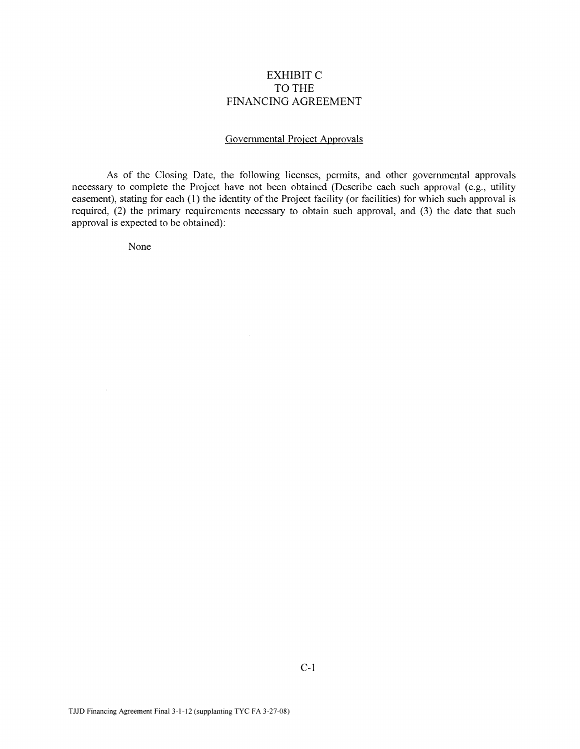# EXHIBITC TO THE FINANCING AGREEMENT

## Governmental Project Approvals

As of the Closing Date, the following licenses, permits, and other governmental approvals necessary to complete the Project have not been obtained (Describe each such approval (e.g., utility easement), stating for each (1) the identity of the Project facility (or facilities) for which such approval is required, (2) the primary requirements necessary to obtain such approval, and (3) the date that such approval is expected to be obtained):

None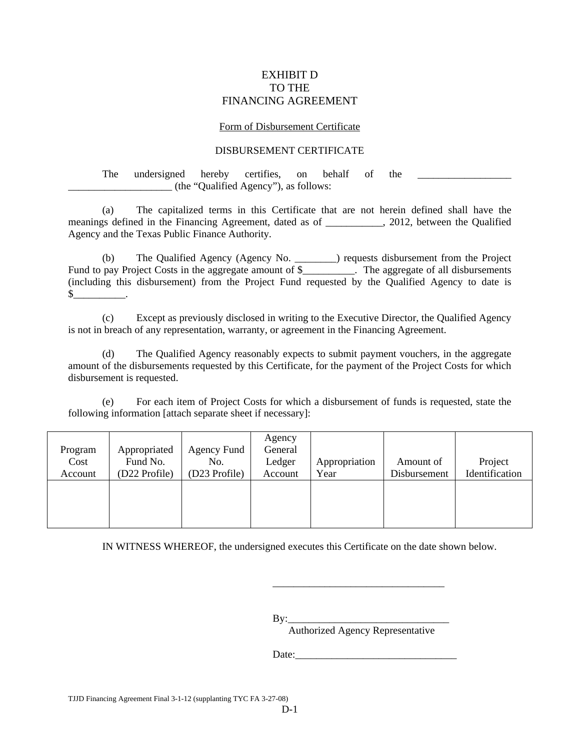# EXHIBIT D TO THE FINANCING AGREEMENT

#### Form of Disbursement Certificate

# DISBURSEMENT CERTIFICATE

The undersigned hereby certifies, on behalf of the \_\_\_\_\_\_\_\_\_\_\_\_\_\_\_\_\_\_\_\_\_\_\_\_\_\_\_\_\_ \_\_\_\_\_\_\_\_\_\_\_\_\_\_\_\_\_\_\_\_ (the "Qualified Agency"), as follows:

 (a) The capitalized terms in this Certificate that are not herein defined shall have the meanings defined in the Financing Agreement, dated as of \_\_\_\_\_\_\_\_\_\_\_, 2012, between the Qualified Agency and the Texas Public Finance Authority.

 (b) The Qualified Agency (Agency No. \_\_\_\_\_\_\_\_) requests disbursement from the Project Fund to pay Project Costs in the aggregate amount of \$\_\_\_\_\_\_\_\_\_\_. The aggregate of all disbursements (including this disbursement) from the Project Fund requested by the Qualified Agency to date is  $\mathbb S$  .

 (c) Except as previously disclosed in writing to the Executive Director, the Qualified Agency is not in breach of any representation, warranty, or agreement in the Financing Agreement.

 (d) The Qualified Agency reasonably expects to submit payment vouchers, in the aggregate amount of the disbursements requested by this Certificate, for the payment of the Project Costs for which disbursement is requested.

 (e) For each item of Project Costs for which a disbursement of funds is requested, state the following information [attach separate sheet if necessary]:

| Program<br>Cost | Appropriated<br>Fund No.<br>(D22 Profile) | Agency Fund<br>No.<br>(D23 Profile) | Agency<br>General<br>Ledger | Appropriation<br>Year | Amount of<br>Disbursement | Project<br>Identification |
|-----------------|-------------------------------------------|-------------------------------------|-----------------------------|-----------------------|---------------------------|---------------------------|
| Account         |                                           |                                     | Account                     |                       |                           |                           |
|                 |                                           |                                     |                             |                       |                           |                           |
|                 |                                           |                                     |                             |                       |                           |                           |
|                 |                                           |                                     |                             |                       |                           |                           |
|                 |                                           |                                     |                             |                       |                           |                           |

IN WITNESS WHEREOF, the undersigned executes this Certificate on the date shown below.

By:\_\_\_\_\_\_\_\_\_\_\_\_\_\_\_\_\_\_\_\_\_\_\_\_\_\_\_\_\_\_\_ Authorized Agency Representative

\_\_\_\_\_\_\_\_\_\_\_\_\_\_\_\_\_\_\_\_\_\_\_\_\_\_\_\_\_\_\_\_\_

Date: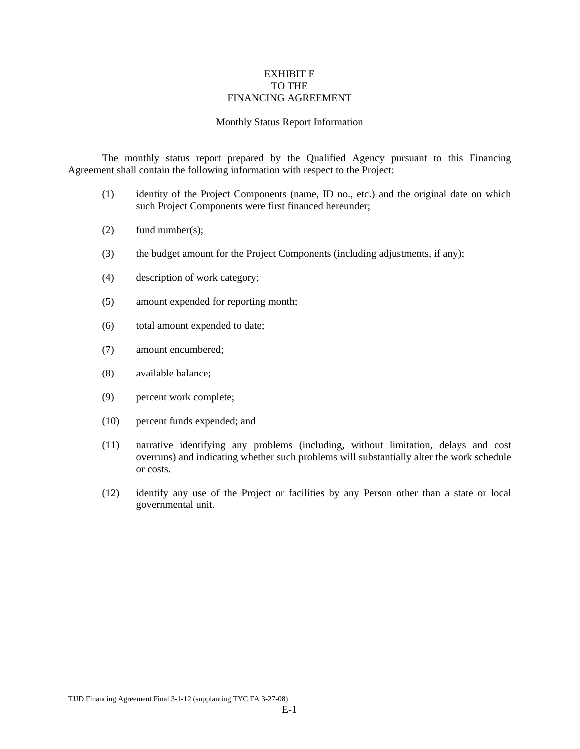#### EXHIBIT E TO THE FINANCING AGREEMENT

#### Monthly Status Report Information

 The monthly status report prepared by the Qualified Agency pursuant to this Financing Agreement shall contain the following information with respect to the Project:

- (1) identity of the Project Components (name, ID no., etc.) and the original date on which such Project Components were first financed hereunder;
- (2) fund number(s);
- (3) the budget amount for the Project Components (including adjustments, if any);
- (4) description of work category;
- (5) amount expended for reporting month;
- (6) total amount expended to date;
- (7) amount encumbered;
- (8) available balance;
- (9) percent work complete;
- (10) percent funds expended; and
- (11) narrative identifying any problems (including, without limitation, delays and cost overruns) and indicating whether such problems will substantially alter the work schedule or costs.
- (12) identify any use of the Project or facilities by any Person other than a state or local governmental unit.

TJJD Financing Agreement Final 3-1-12 (supplanting TYC FA 3-27-08)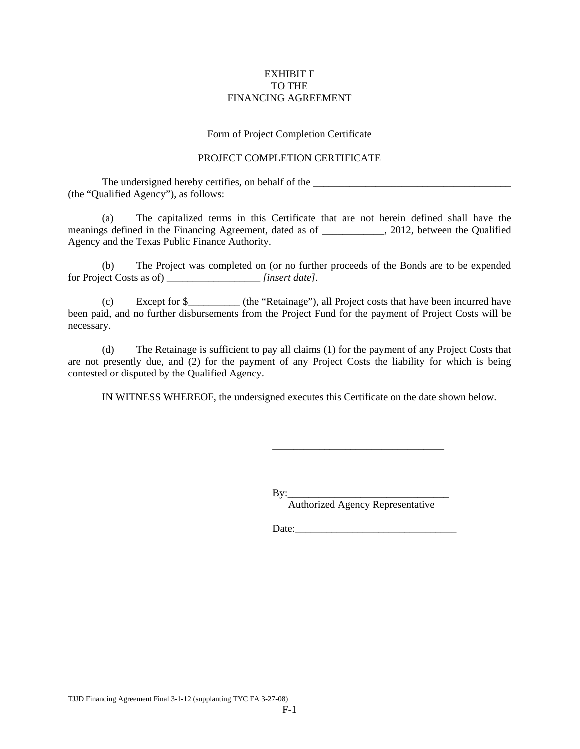## EXHIBIT F TO THE FINANCING AGREEMENT

## Form of Project Completion Certificate

# PROJECT COMPLETION CERTIFICATE

The undersigned hereby certifies, on behalf of the \_\_\_\_\_\_\_\_\_\_\_\_\_\_\_\_\_\_\_\_\_\_\_\_\_\_\_\_\_ (the "Qualified Agency"), as follows:

 (a) The capitalized terms in this Certificate that are not herein defined shall have the meanings defined in the Financing Agreement, dated as of  $\qquad \qquad$ , 2012, between the Qualified Agency and the Texas Public Finance Authority.

 (b) The Project was completed on (or no further proceeds of the Bonds are to be expended for Project Costs as of) \_\_\_\_\_\_\_\_\_\_\_\_\_\_\_\_\_\_ *[insert date]*.

 (c) Except for \$\_\_\_\_\_\_\_\_\_\_ (the "Retainage"), all Project costs that have been incurred have been paid, and no further disbursements from the Project Fund for the payment of Project Costs will be necessary.

 (d) The Retainage is sufficient to pay all claims (1) for the payment of any Project Costs that are not presently due, and (2) for the payment of any Project Costs the liability for which is being contested or disputed by the Qualified Agency.

IN WITNESS WHEREOF, the undersigned executes this Certificate on the date shown below.

 $By:$ Authorized Agency Representative

\_\_\_\_\_\_\_\_\_\_\_\_\_\_\_\_\_\_\_\_\_\_\_\_\_\_\_\_\_\_\_\_\_

Date: